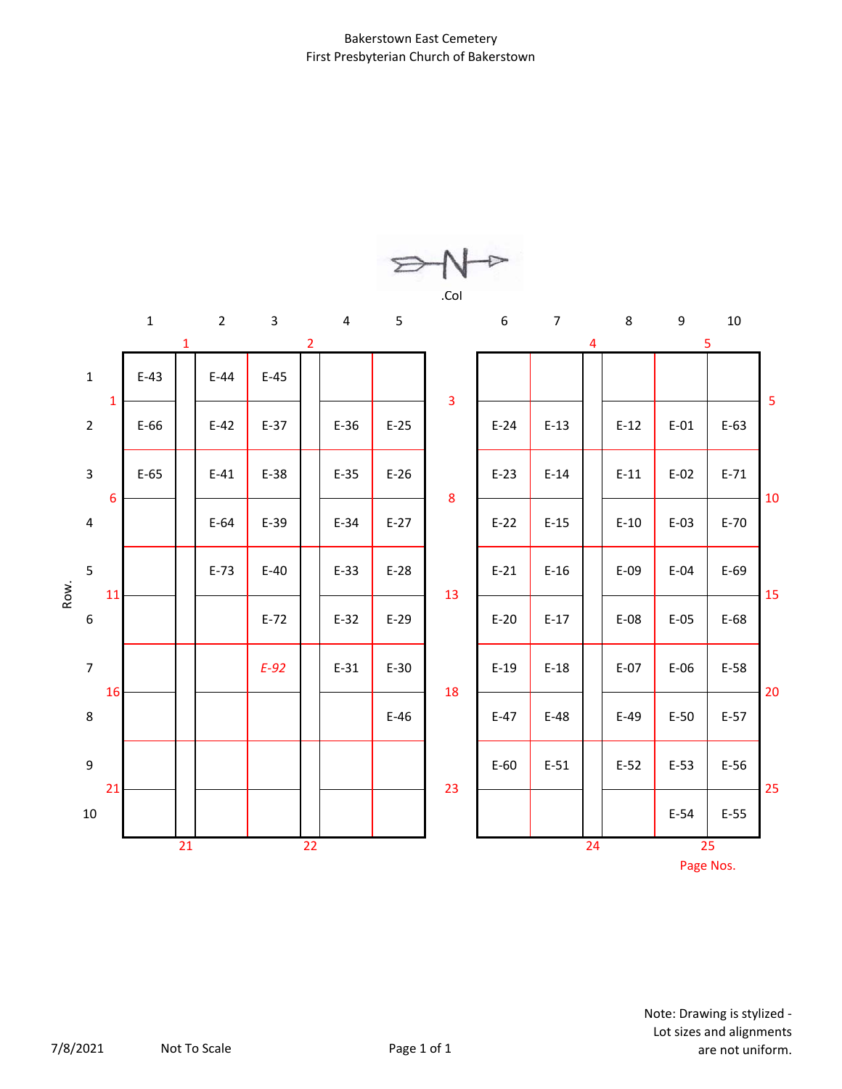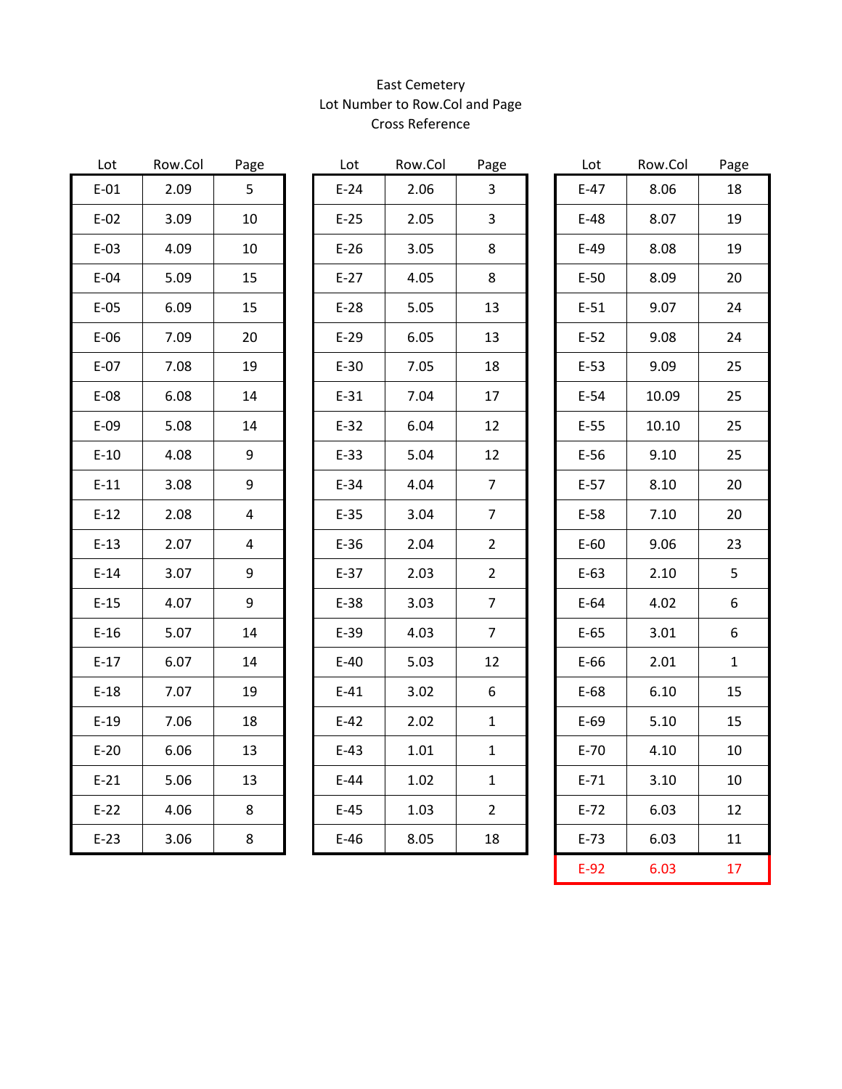# East Cemetery Lot Number to Row.Col and Page Cross Reference

| Lot    | Row.Col | Page |
|--------|---------|------|
| $E-01$ | 2.09    | 5    |
| $E-02$ | 3.09    | 10   |
| $E-03$ | 4.09    | 10   |
| $E-04$ | 5.09    | 15   |
| $E-05$ | 6.09    | 15   |
| $E-06$ | 7.09    | 20   |
| $E-07$ | 7.08    | 19   |
| E-08   | 6.08    | 14   |
| $E-09$ | 5.08    | 14   |
| $E-10$ | 4.08    | 9    |
| $E-11$ | 3.08    | 9    |
| $E-12$ | 2.08    | 4    |
| $E-13$ | 2.07    | 4    |
| $E-14$ | 3.07    | 9    |
| $E-15$ | 4.07    | 9    |
| $E-16$ | 5.07    | 14   |
| $E-17$ | 6.07    | 14   |
| $E-18$ | 7.07    | 19   |
| $E-19$ | 7.06    | 18   |
| $E-20$ | 6.06    | 13   |
| $E-21$ | 5.06    | 13   |
| $E-22$ | 4.06    | 8    |
| $E-23$ | 3.06    | 8    |

| Lot    | Row.Col | Page | Lot    | Row.Col | Page           | Lot    | Row.Col | Page         |
|--------|---------|------|--------|---------|----------------|--------|---------|--------------|
| $E-01$ | 2.09    | 5    | $E-24$ | 2.06    | 3              | $E-47$ | 8.06    | 18           |
| $E-02$ | 3.09    | 10   | $E-25$ | 2.05    | 3              | $E-48$ | 8.07    | 19           |
| $E-03$ | 4.09    | 10   | $E-26$ | 3.05    | 8              | $E-49$ | 8.08    | 19           |
| $E-04$ | 5.09    | 15   | $E-27$ | 4.05    | 8              | $E-50$ | 8.09    | 20           |
| $E-05$ | 6.09    | 15   | $E-28$ | 5.05    | 13             | $E-51$ | 9.07    | 24           |
| $E-06$ | 7.09    | 20   | $E-29$ | 6.05    | 13             | $E-52$ | 9.08    | 24           |
| $E-07$ | 7.08    | 19   | $E-30$ | 7.05    | 18             | $E-53$ | 9.09    | 25           |
| $E-08$ | 6.08    | 14   | $E-31$ | 7.04    | 17             | $E-54$ | 10.09   | 25           |
| $E-09$ | 5.08    | 14   | $E-32$ | 6.04    | 12             | $E-55$ | 10.10   | 25           |
| $E-10$ | 4.08    | 9    | $E-33$ | 5.04    | 12             | $E-56$ | 9.10    | 25           |
| $E-11$ | 3.08    | 9    | $E-34$ | 4.04    | $\overline{7}$ | $E-57$ | 8.10    | 20           |
| $E-12$ | 2.08    | 4    | $E-35$ | 3.04    | $\overline{7}$ | $E-58$ | 7.10    | 20           |
| $E-13$ | 2.07    | 4    | $E-36$ | 2.04    | $\overline{2}$ | $E-60$ | 9.06    | 23           |
| $E-14$ | 3.07    | 9    | $E-37$ | 2.03    | $\overline{2}$ | $E-63$ | 2.10    | 5            |
| $E-15$ | 4.07    | 9    | $E-38$ | 3.03    | $\overline{7}$ | $E-64$ | 4.02    | 6            |
| $E-16$ | 5.07    | 14   | $E-39$ | 4.03    | $\overline{7}$ | $E-65$ | 3.01    | 6            |
| $E-17$ | 6.07    | 14   | $E-40$ | 5.03    | 12             | $E-66$ | 2.01    | $\mathbf{1}$ |
| $E-18$ | 7.07    | 19   | $E-41$ | 3.02    | 6              | $E-68$ | 6.10    | 15           |
| $E-19$ | 7.06    | 18   | $E-42$ | 2.02    | $\mathbf{1}$   | $E-69$ | 5.10    | 15           |
| $E-20$ | 6.06    | 13   | $E-43$ | 1.01    | $\mathbf{1}$   | $E-70$ | 4.10    | 10           |
| $E-21$ | 5.06    | 13   | $E-44$ | 1.02    | $\mathbf{1}$   | $E-71$ | 3.10    | 10           |
| $E-22$ | 4.06    | 8    | $E-45$ | 1.03    | $\overline{2}$ | $E-72$ | 6.03    | 12           |
| $E-23$ | 3.06    | 8    | $E-46$ | 8.05    | 18             | $E-73$ | 6.03    | 11           |

| Lot    | Row.Col | Page |
|--------|---------|------|
| $E-47$ | 8.06    | 18   |
| $E-48$ | 8.07    | 19   |
| $E-49$ | 8.08    | 19   |
| $E-50$ | 8.09    | 20   |
| $E-51$ | 9.07    | 24   |
| $E-52$ | 9.08    | 24   |
| $E-53$ | 9.09    | 25   |
| $E-54$ | 10.09   | 25   |
| $E-55$ | 10.10   | 25   |
| $E-56$ | 9.10    | 25   |
| $E-57$ | 8.10    | 20   |
| $E-58$ | 7.10    | 20   |
| $E-60$ | 9.06    | 23   |
| $E-63$ | 2.10    | 5    |
| $E-64$ | 4.02    | 6    |
| $E-65$ | 3.01    | 6    |
| $E-66$ | 2.01    | 1    |
| E-68   | 6.10    | 15   |
| $E-69$ | 5.10    | 15   |
| $E-70$ | 4.10    | 10   |
| $E-71$ | 3.10    | 10   |
| $E-72$ | 6.03    | 12   |
| $E-73$ | 6.03    | 11   |
| $E-92$ | 6.03    | 17   |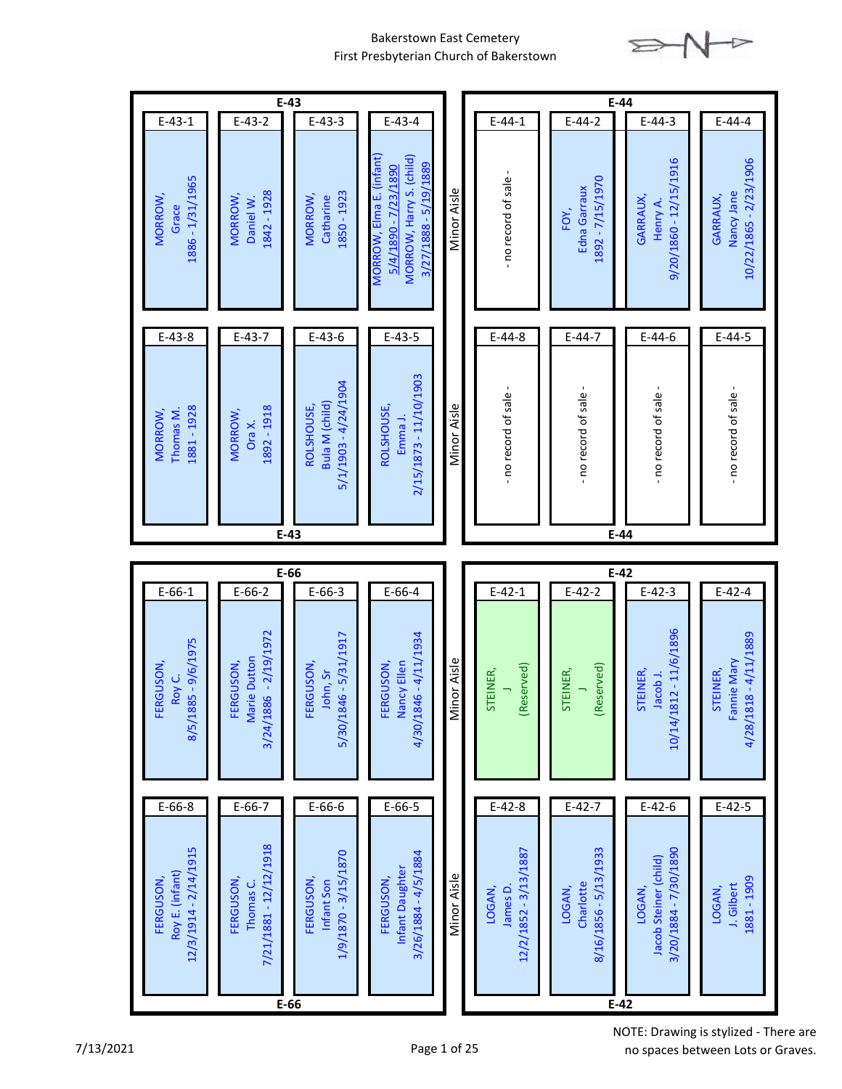

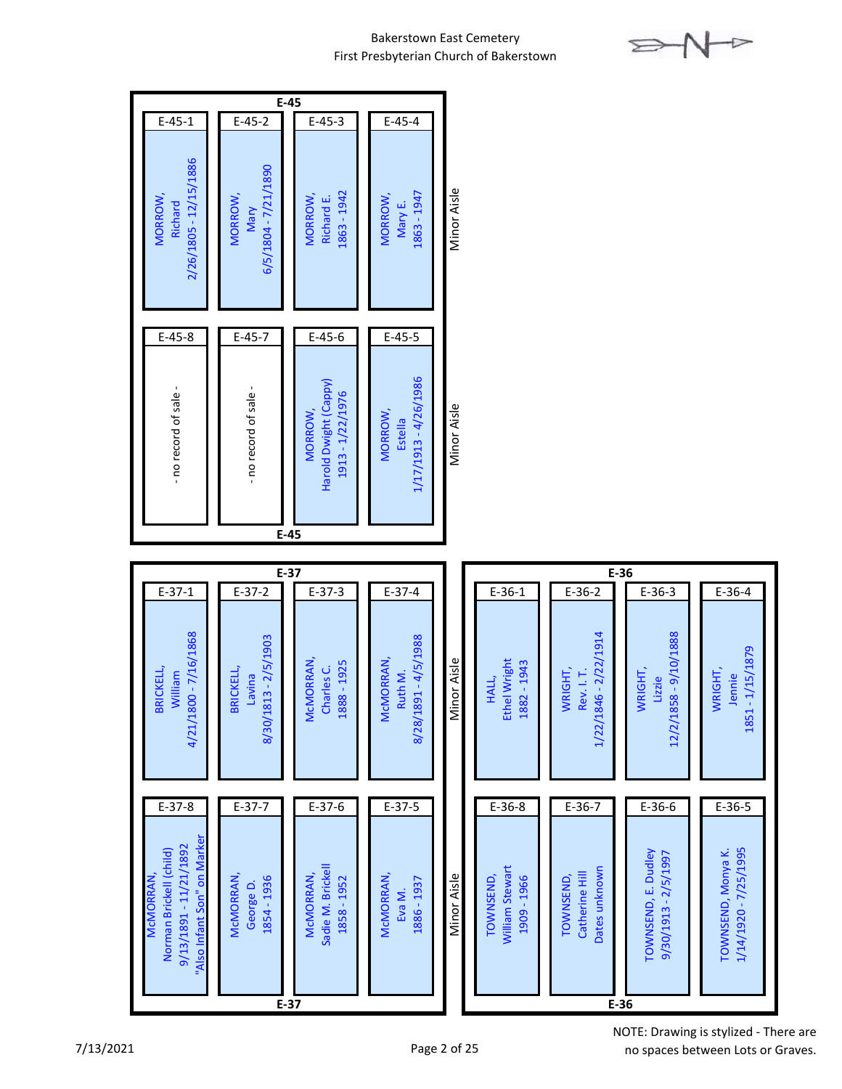$P + P$ 



NOTE: Drawing is stylized ‐ There are no spaces between Lots or Graves.

TOWNSEND, Monya K. 1/14/1920 ‐ 7/25/1995

1/14/1920 - 7/25/1995

Jennie 1851 ‐ 1/15/1879

1851-1/15/1879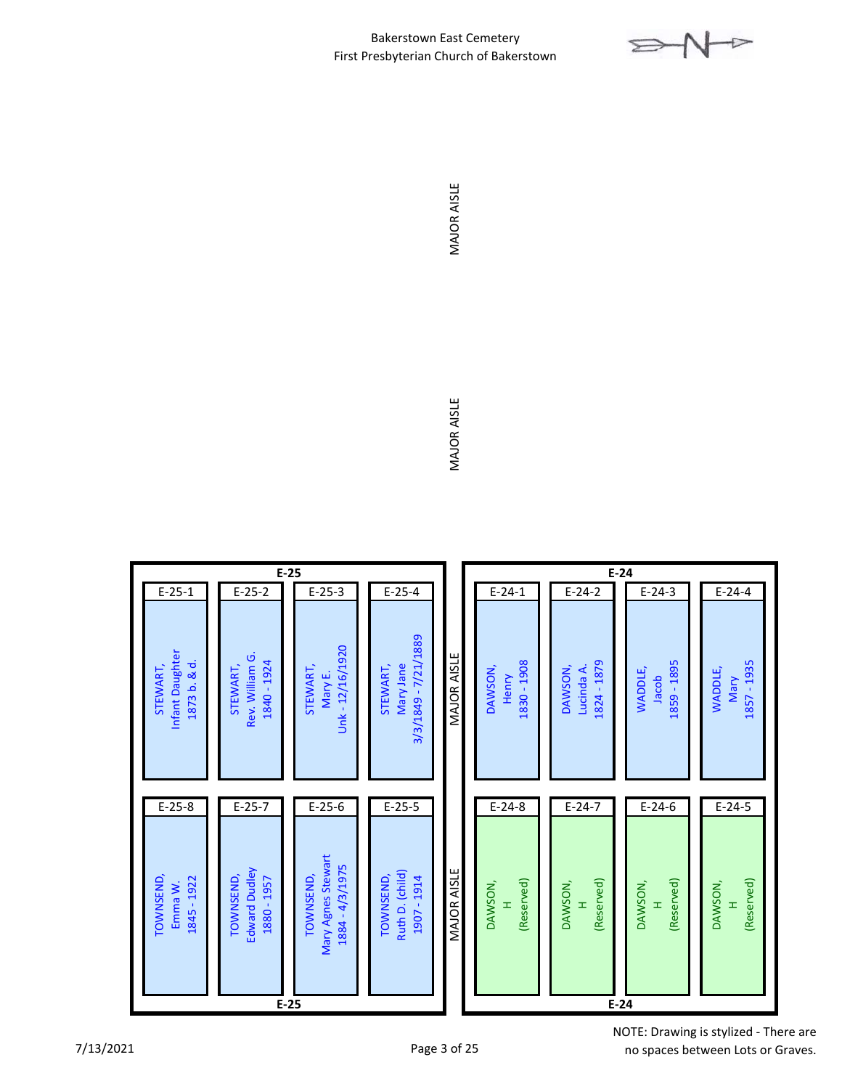$P + P$ 



MAJOR AISLE MAJOR AISLE

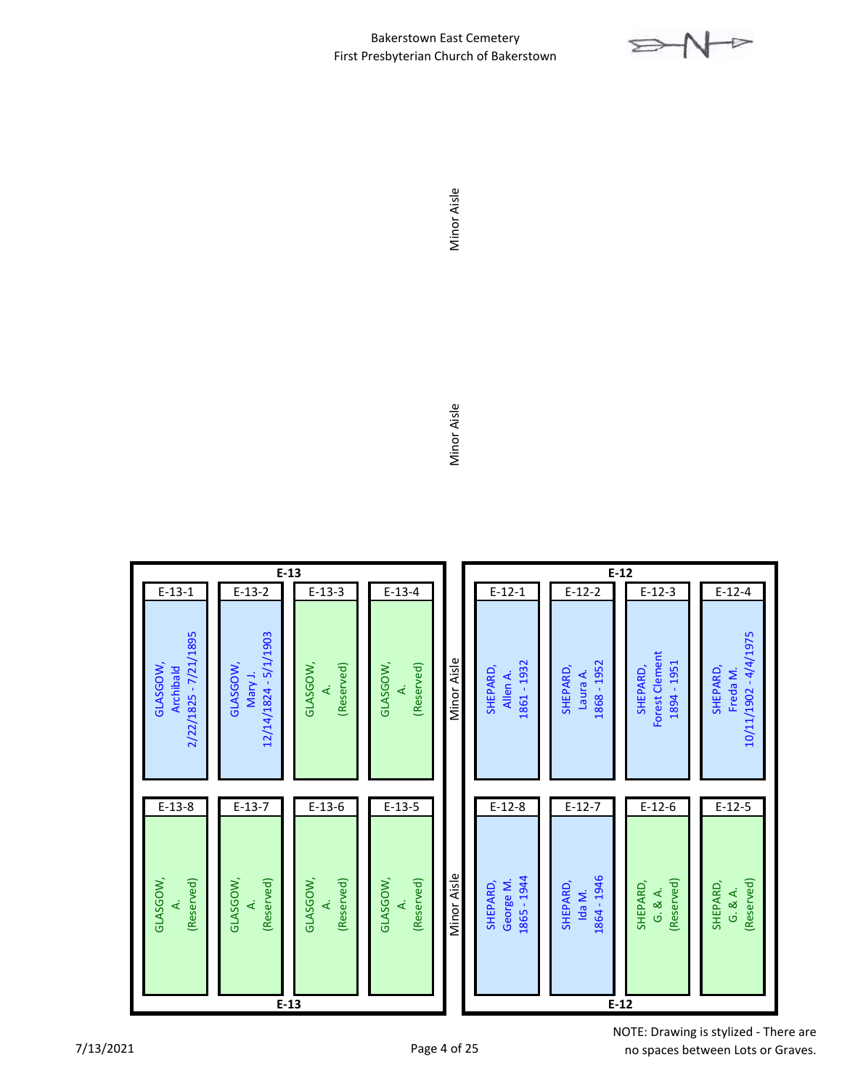$P + P$ 



Minor Aisle

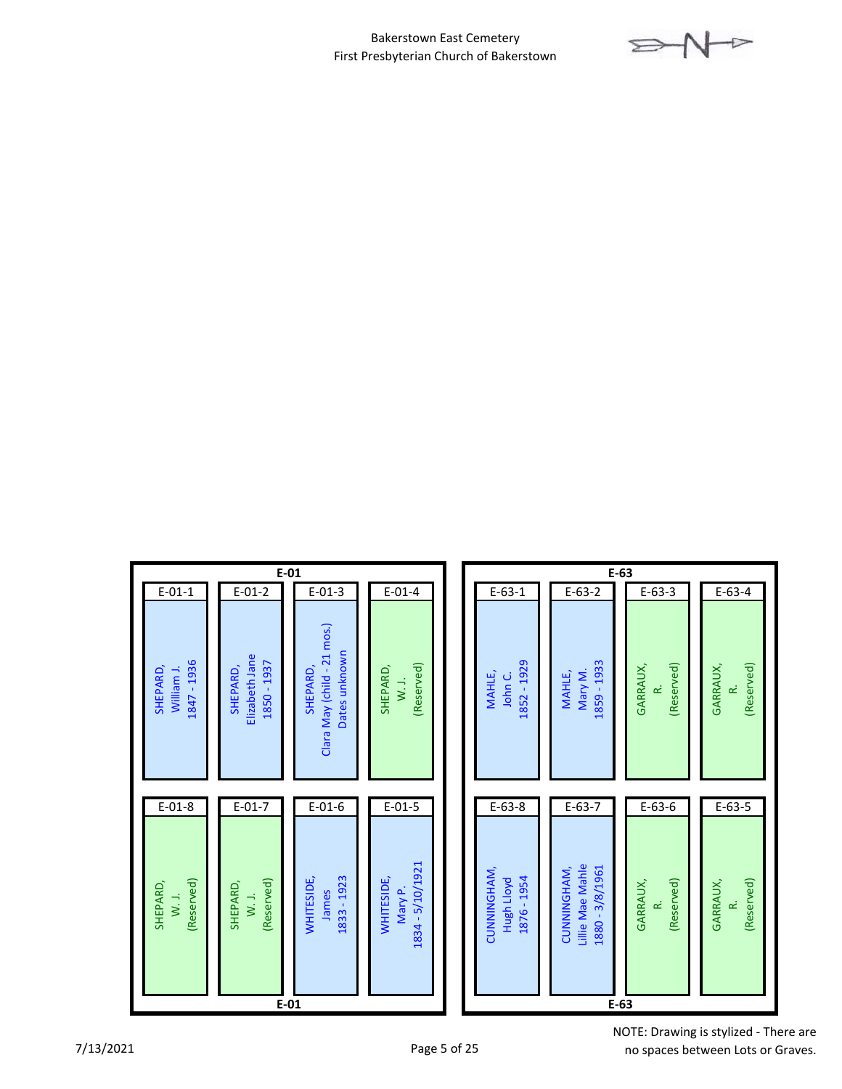$P + P$ 

| $E-01$                                    |                                           |                                                                |                                               |  |                                          |                                                    | $E-63$                              |                                     |
|-------------------------------------------|-------------------------------------------|----------------------------------------------------------------|-----------------------------------------------|--|------------------------------------------|----------------------------------------------------|-------------------------------------|-------------------------------------|
| $E-01-1$                                  | $E-01-2$                                  | $E-01-3$                                                       | $E-01-4$                                      |  | $E-63-1$                                 | $E-63-2$                                           | $E-63-3$                            | $E-63-4$                            |
| 1847 - 1936<br>SHEPARD,<br>William J      | Elizabeth Jane<br>1850 - 1937<br>SHEPARD, | Clara May (child - 21 mos.)<br>Dates unknown<br><b>SHEPARD</b> | (Reserved)<br>SHEPARD,<br>$\overline{M}$ . J. |  | 1852 - 1929<br>MAHLE,<br>John C.         | 1859 - 1933<br>Mary M.<br>MAHLE,                   | (Reserved)<br><b>GARRAUX,</b><br>نم | <b>GARRAUX,</b><br>(Reserved)<br>غه |
| $E-01-8$                                  | $E-01-7$                                  | $E-01-6$                                                       | $E-01-5$                                      |  | $E-63-8$                                 | $E-63-7$                                           | $E-63-6$                            | $E-63-5$                            |
| (Reserved)<br>SHEPARD,<br>$\frac{1}{\ge}$ | (Reserved)<br>SHEPARD,<br>W. J.           | 1833 - 1923<br>WHITESIDE,<br>James                             | 1834 - 5/10/1921<br>WHITESIDE,<br>Mary P.     |  | CUNNINGHAM,<br>1876 - 1954<br>Hugh Lloyd | Lillie Mae Mahle<br>1880 - 3/8/1961<br>CUNNINGHAM, | (Reserved)<br><b>GARRAUX,</b><br>نم | (Reserved)<br><b>GARRAUX,</b><br>œ  |
|                                           |                                           | $E-01$                                                         |                                               |  |                                          |                                                    | $E-63$                              |                                     |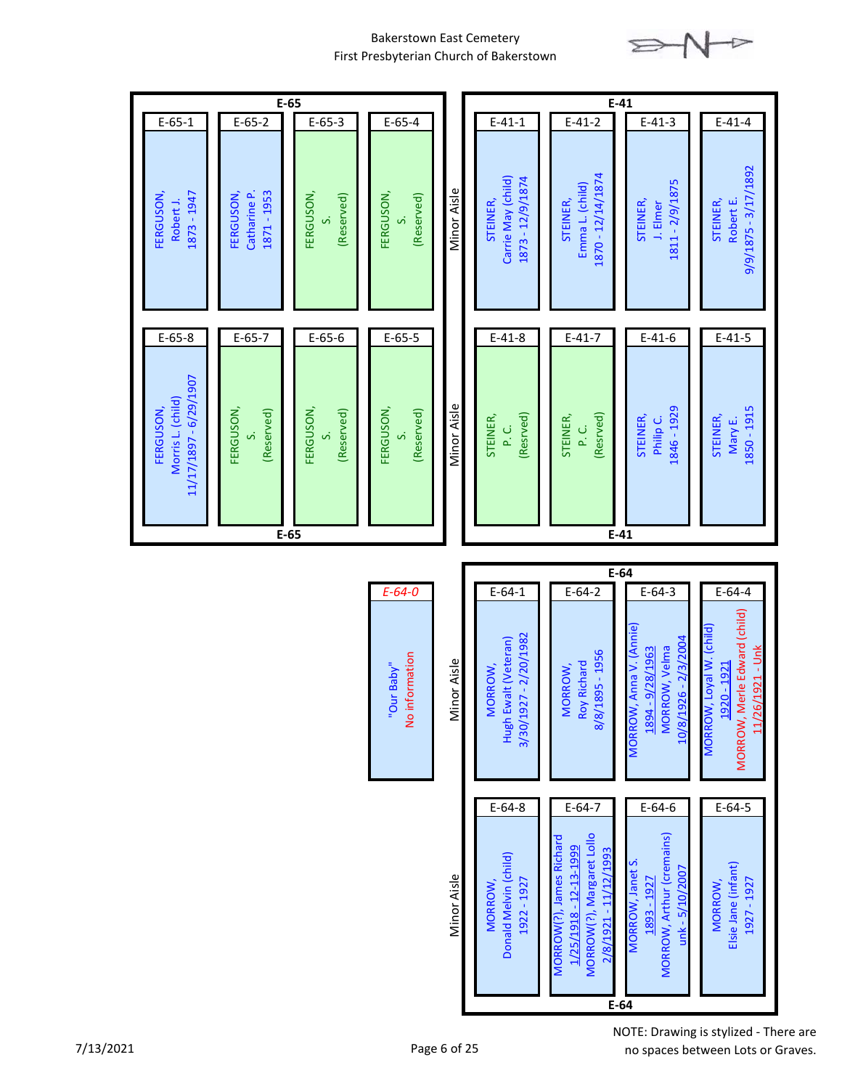

|                                                          |                                          | $E-65$                       |                              |             |                                                          |                                                  | $E-41$                                                                                  |                                                                                                            |
|----------------------------------------------------------|------------------------------------------|------------------------------|------------------------------|-------------|----------------------------------------------------------|--------------------------------------------------|-----------------------------------------------------------------------------------------|------------------------------------------------------------------------------------------------------------|
| $E-65-1$                                                 | $E-65-2$                                 | $E-65-3$                     | $E-65-4$                     |             | $E-41-1$                                                 | $E-41-2$                                         | $E-41-3$                                                                                | $E - 41 - 4$                                                                                               |
| 1873 - 1947<br><b>FERGUSON</b><br>Robert J.              | 1871 - 1953<br>Catharine P.<br>FERGUSON, | FERGUSON,<br>(Reserved)<br>S | FERGUSON<br>(Reserved)       | Minor Aisle | Carrie May (child)<br>1873 - 12/9/1874<br>STEINER,       | 1870 - 12/14/1874<br>Emma L. (child)<br>STEINER, | 1811 - 2/9/1875<br>STEINER,<br>J. Elmer                                                 | 9/9/1875 - 3/17/1892<br>Robert E.<br>STEINER,                                                              |
| $E-65-8$                                                 | $E-65-7$                                 | $E-65-6$                     | $E-65-5$                     |             | $E-41-8$                                                 | $E-41-7$                                         | $E-41-6$                                                                                | $E-41-5$                                                                                                   |
|                                                          |                                          |                              |                              |             |                                                          |                                                  |                                                                                         |                                                                                                            |
| 11/17/1897 - 6/29/1907<br>Morris L. (child)<br>FERGUSON, | FERGUSON,<br>(Reserved)                  | FERGUSON,<br>(Reserved)<br>S | FERGUSON<br>(Reserved)<br>vi | Minor Aisle | (Resrved)<br>STEINER,<br>ن<br>غ                          | (Resrved)<br>STEINER,<br>ن<br>`ء                 | 1846 - 1929<br>STEINER,<br>Philip C.                                                    | 1850 - 1915<br>STEINER,<br>Mary E.                                                                         |
|                                                          |                                          | $E-65$                       |                              |             |                                                          |                                                  | $E-41$                                                                                  |                                                                                                            |
|                                                          |                                          |                              |                              |             |                                                          |                                                  |                                                                                         |                                                                                                            |
|                                                          |                                          |                              |                              |             |                                                          |                                                  | $E-64$                                                                                  |                                                                                                            |
|                                                          |                                          |                              | $E - 64 - 0$                 |             | $E-64-1$                                                 | $E-64-2$                                         | $E-64-3$                                                                                | $E - 64 - 4$                                                                                               |
|                                                          |                                          |                              |                              |             |                                                          |                                                  |                                                                                         |                                                                                                            |
|                                                          |                                          |                              | No information<br>"Our Baby" | Minor Aisle | 3/30/1927 - 2/20/1982<br>Hugh Ewalt (Veteran)<br>MORROW, | 8/8/1895 - 1956<br>Richard<br>MORROW,<br>Roy     | Anna V. (Annie)<br>10/8/1926 - 2/3/2004<br>MORROW, Velma<br>1894 - 9/28/1963<br>MORROW, | MORROW, Merle Edward (child)<br>Loyal W. (child)<br>$1921 - UNR$<br>1920 - 1921<br>11/26/<br><b>MORROW</b> |
|                                                          |                                          |                              |                              |             | $E-64-8$                                                 | $E-64-7$                                         | $E-64-6$                                                                                | $E-64-5$                                                                                                   |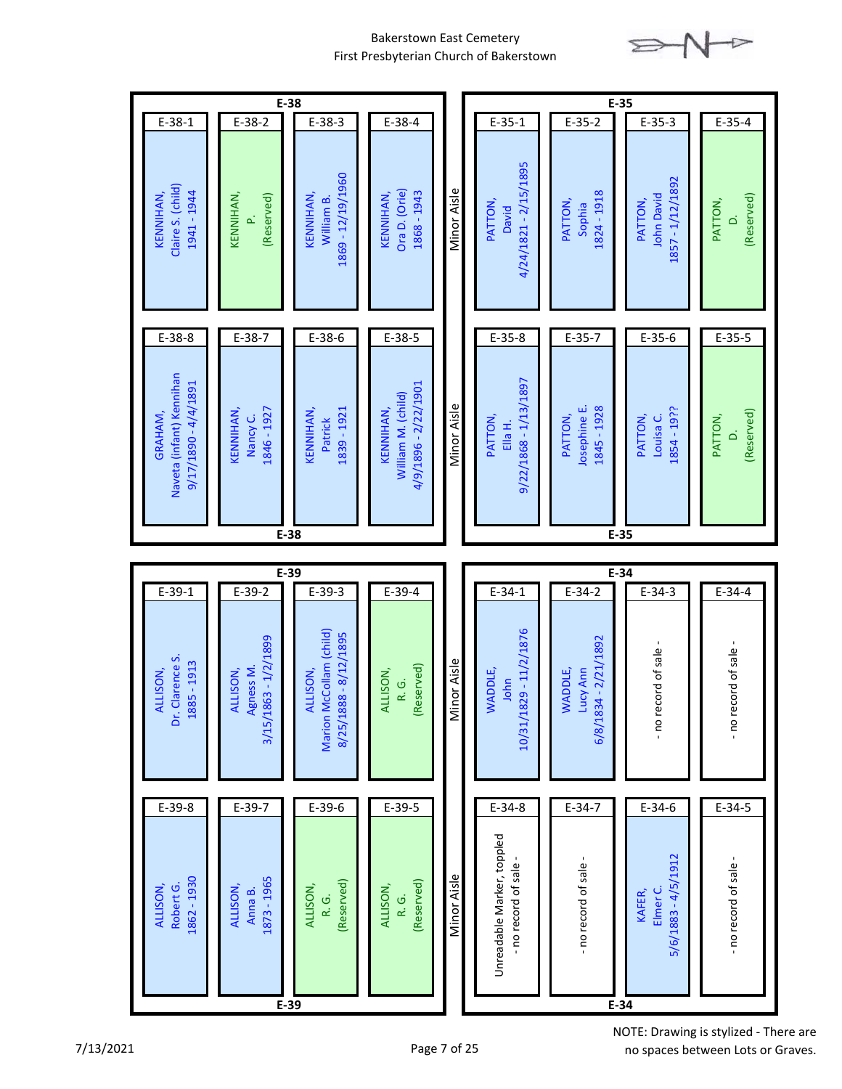

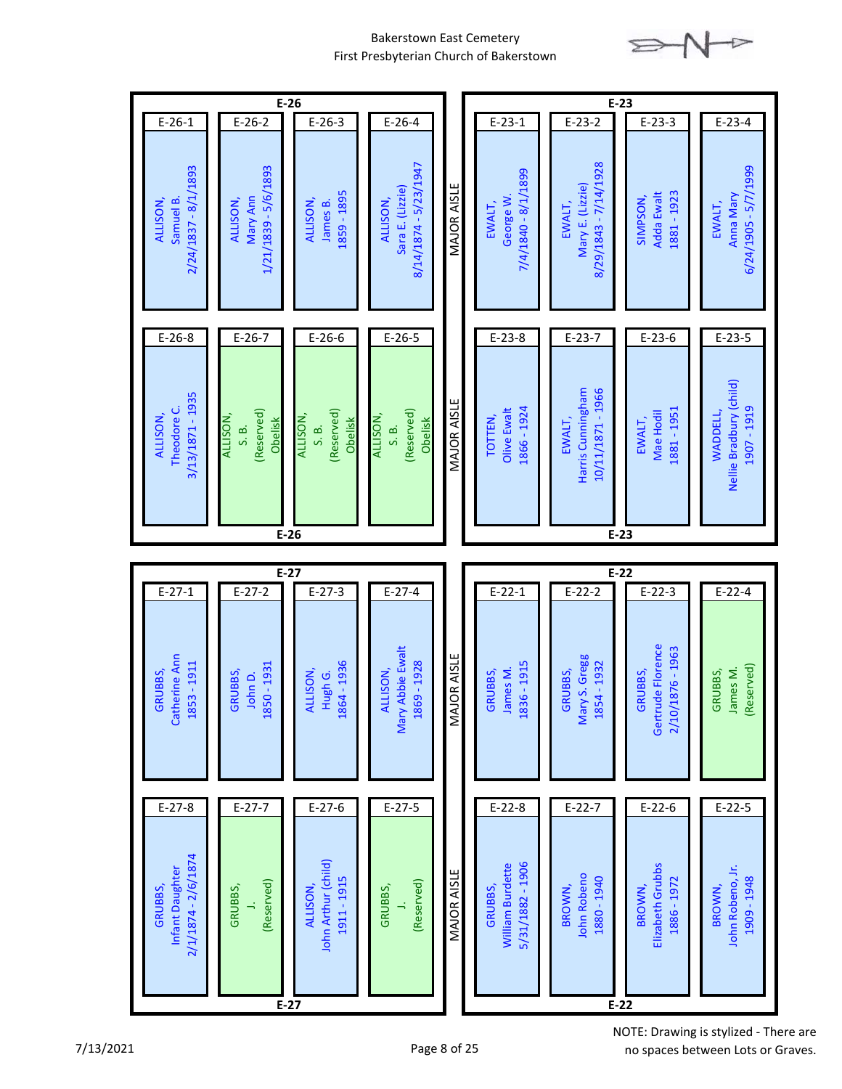

| $E-26$                                                        |                                                           |                                                                  |                                                         |                       |                                                             |                                                           | $E-23$                                                            |                                                           |
|---------------------------------------------------------------|-----------------------------------------------------------|------------------------------------------------------------------|---------------------------------------------------------|-----------------------|-------------------------------------------------------------|-----------------------------------------------------------|-------------------------------------------------------------------|-----------------------------------------------------------|
| $E-26-1$                                                      | $E-26-2$                                                  | $E-26-3$                                                         | $E-26-4$                                                |                       | $E-23-1$                                                    | $E-23-2$                                                  | $E-23-3$                                                          | $E-23-4$                                                  |
| 2/24/1837 - 8/1/1893<br>Samuel B.<br>ALLISON,                 | 1/21/1839 - 5/6/1893<br>Mary Ann<br>ALLISON,              | 1859 - 1895<br><b>ALLISON</b><br>James B.                        | 8/14/1874 - 5/23/1947<br>Sara E. (Lizzie)<br>ALLISON,   | MAJOR AISLE           | 7/4/1840 - 8/1/1899<br>George W.<br>EWALT,                  | 8/29/1843 - 7/14/1928<br>Mary E. (Lizzie)<br>EWALT,       | 1881 - 1923<br>Adda Ewalt<br>SIMPSON,                             | 6/24/1905 - 5/7/1999<br>Anna Mary<br>EWALT,               |
| $E-26-8$                                                      | $E-26-7$                                                  | $E-26-6$                                                         | $E-26-5$                                                |                       | $E-23-8$                                                    | $E-23-7$                                                  | $E-23-6$                                                          | $E-23-5$                                                  |
| 3/13/1871 - 1935<br>Theodore C.<br>ALLISON,                   | (Reserved)<br><b>ALLISON</b><br><b>Obelisk</b><br>ن.<br>ن | (Reserved)<br>ALLISON,<br>Obelisk<br>S. B.                       | (Reserved)<br><b>MOSITIV</b><br><b>Obelisk</b><br>S. B. | MAJOR AISLE           | <b>Olive Ewalt</b><br>1866 - 1924<br>TOTTEN,                | Harris Cunningham<br>10/11/1871 - 1966<br>EWALT,          | 1881 - 1951<br>Mae Hodil<br>EWALT,                                | Nellie Bradbury (child)<br>1907 - 1919<br><b>WADDELL,</b> |
|                                                               |                                                           |                                                                  |                                                         |                       |                                                             | $E-23$                                                    |                                                                   |                                                           |
|                                                               | $E-26$                                                    |                                                                  |                                                         |                       |                                                             |                                                           |                                                                   |                                                           |
|                                                               |                                                           | $E-27$                                                           |                                                         |                       |                                                             |                                                           | $E-22$                                                            |                                                           |
| $E-27-1$<br>Catherine Ann<br>1853 - 1911<br>GRUBBS,           | $E-27-2$<br>1850 - 1931<br>GRUBBS,<br>John D.             | $E-27-3$<br>1864 - 1936<br>ALLISON,<br>Hugh G.                   | $E-27-4$<br>Mary Abbie Ewalt<br>1869 - 1928<br>ALLISON, | OR AISLE<br><b>NN</b> | $E-22-1$<br>1836 - 1915<br>James M.<br>GRUBBS,              | $E-22-2$<br>Mary S. Gregg<br>1854 - 1932<br><b>GRUBBS</b> | $E-22-3$<br>Gertrude Florence<br>1876 - 1963<br>GRUBBS,<br>2/10/1 | $E-22-4$<br>(Reserved)<br>James M.<br>GRUBBS,             |
|                                                               |                                                           |                                                                  |                                                         |                       |                                                             |                                                           |                                                                   |                                                           |
| $E-27-8$<br>2/1/1874 - 2/6/1874<br>Infant Daughter<br>GRUBBS, | $E-27-7$<br>(Reserved)<br>GRUBBS,                         | $E-27-6$<br>John Arthur (child)<br>1911 - 1915<br><b>ALLISON</b> | $E-27-5$<br>(Reserved)<br>GRUBBS,                       | MAJOR AISLE           | $E-22-8$<br>5/31/1882 - 1906<br>William Burdette<br>GRUBBS, | $E-22-7$<br>John Robeno<br>1880 - 1940<br><b>BROWN</b>    | $E-22-6$<br>Elizabeth Grubbs<br>1886 - 1972<br><b>BROWN</b>       | $E-22-5$<br>John Robeno, Jr.<br>1909 - 1948<br>BROWN,     |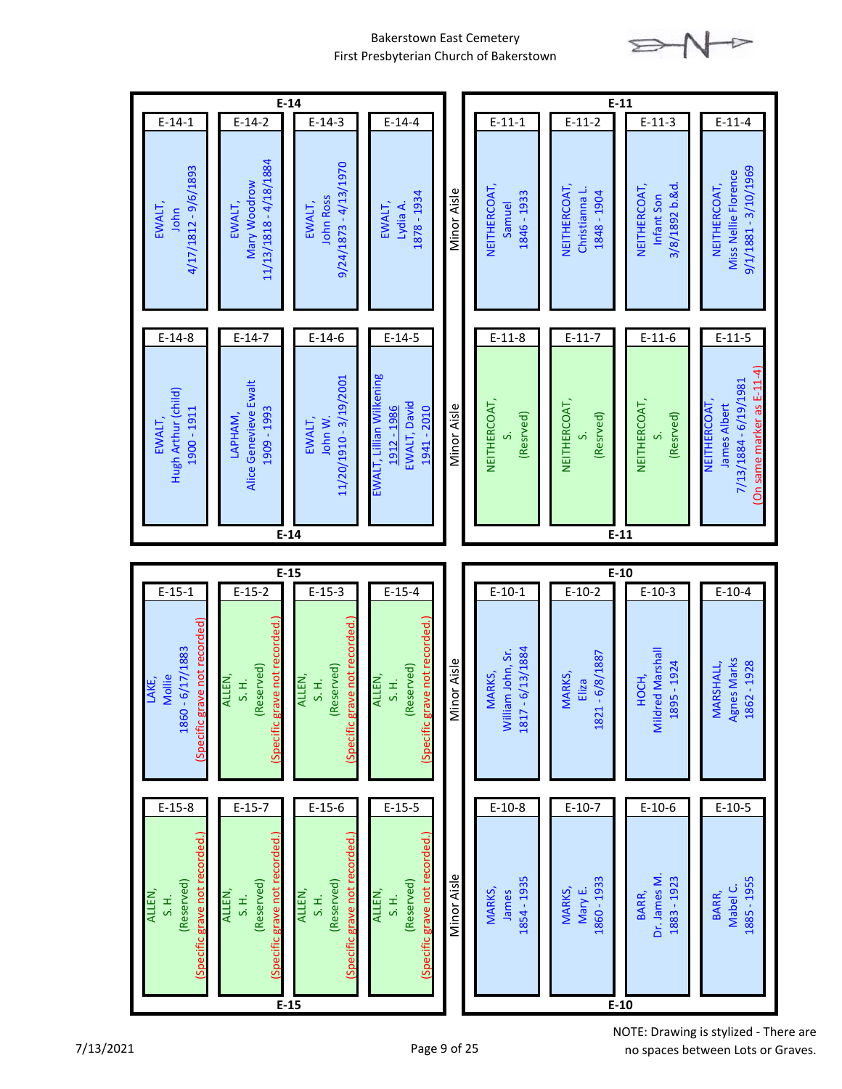

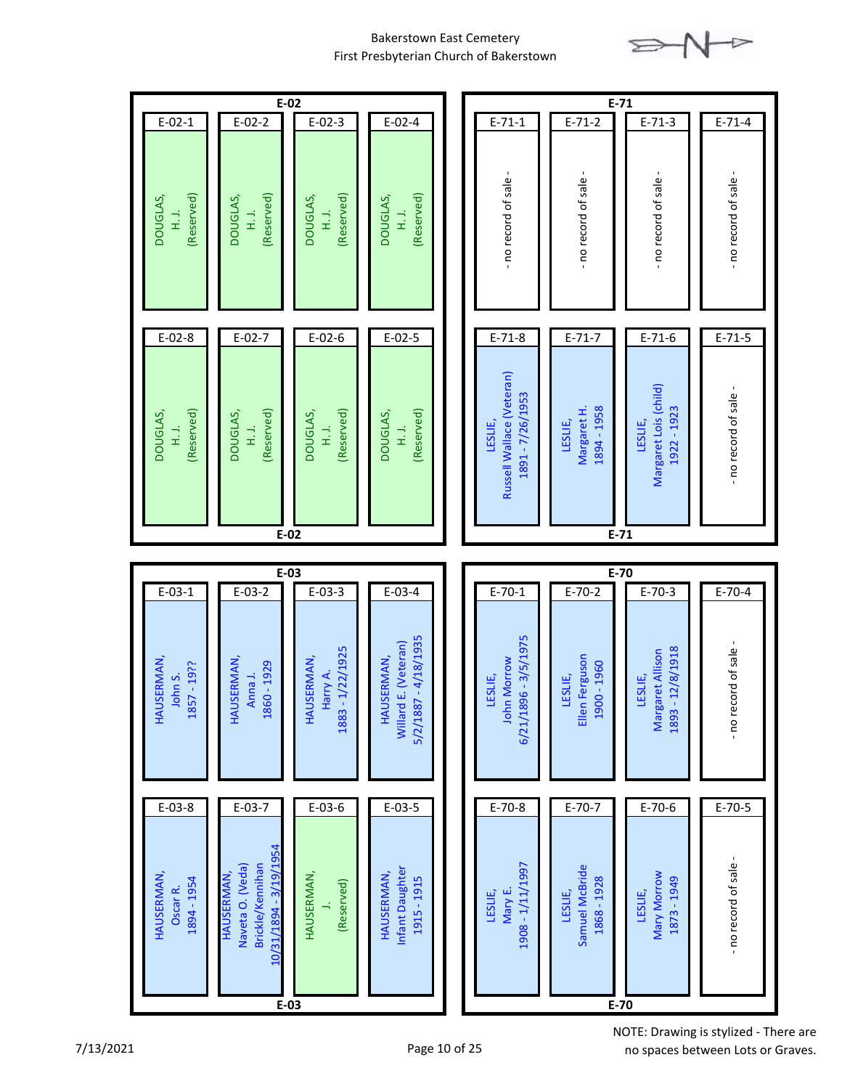

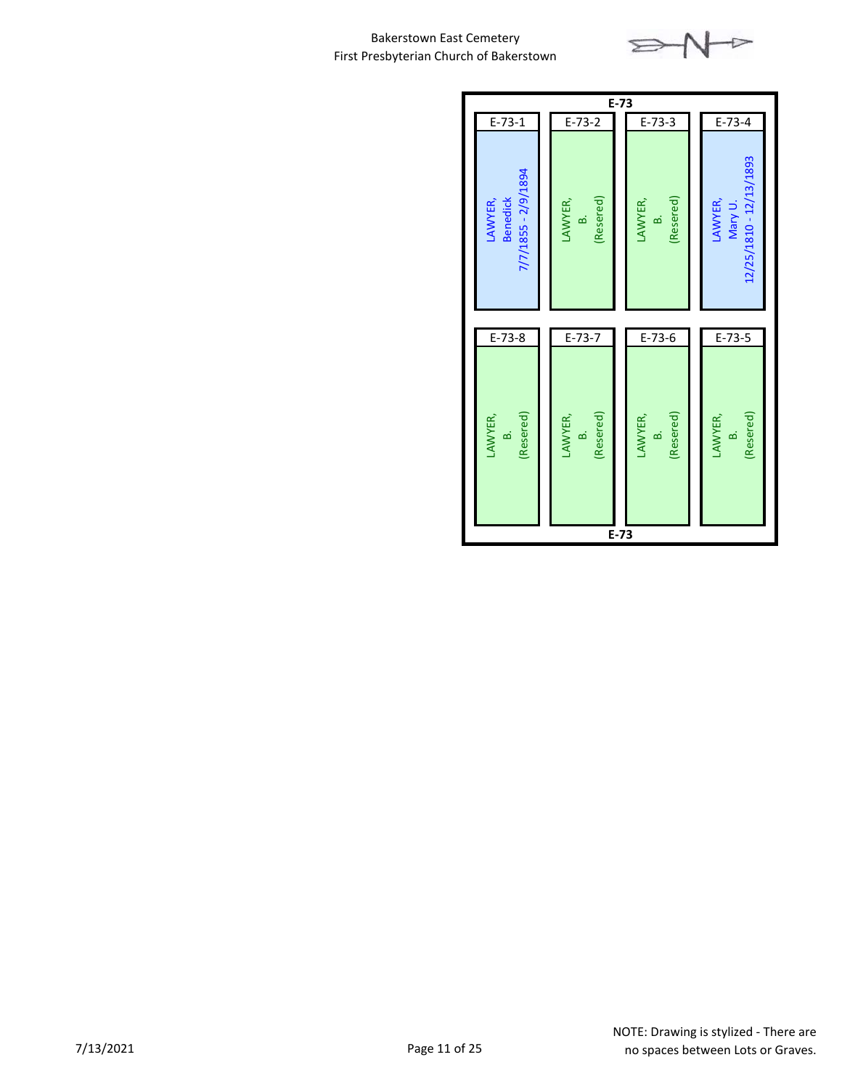Σ

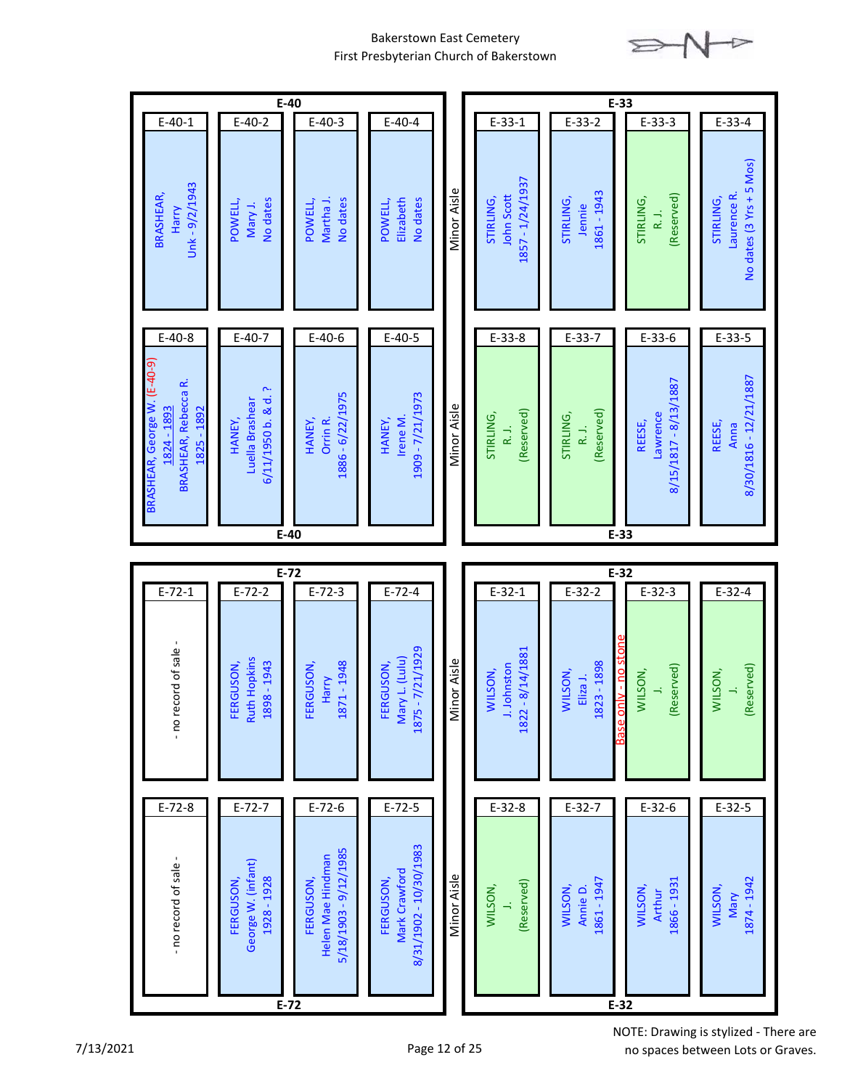

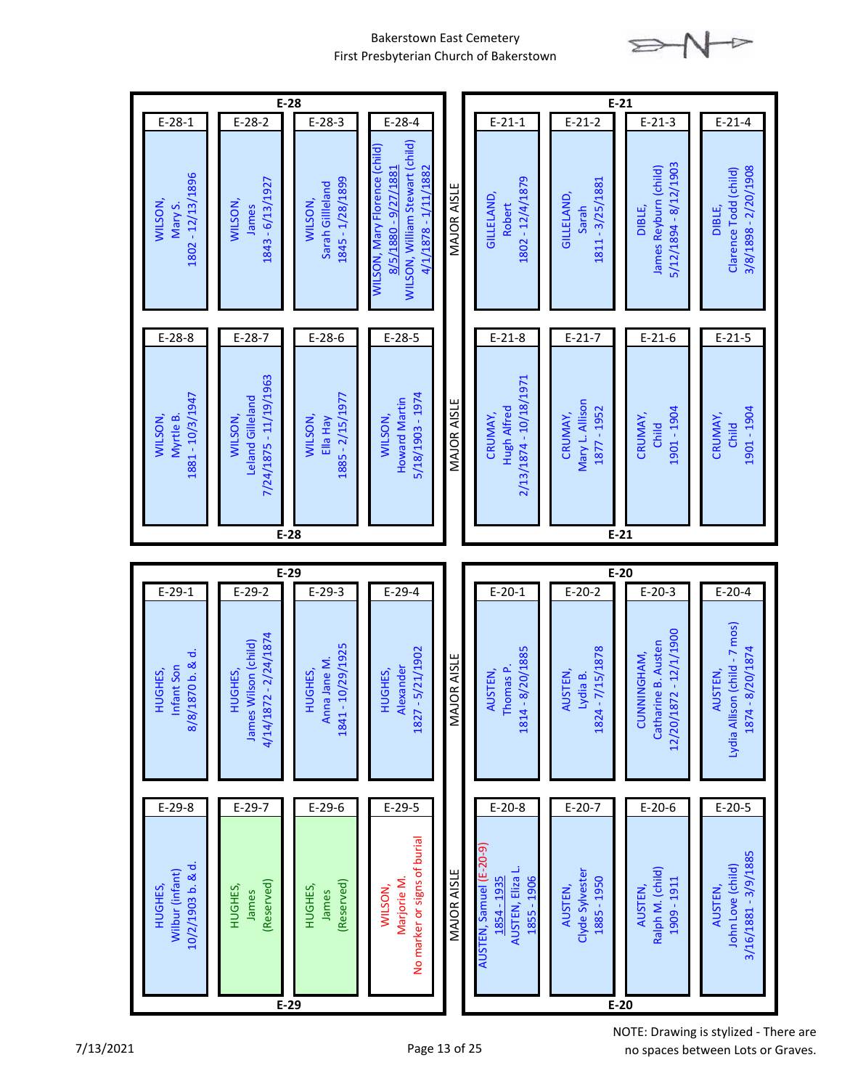

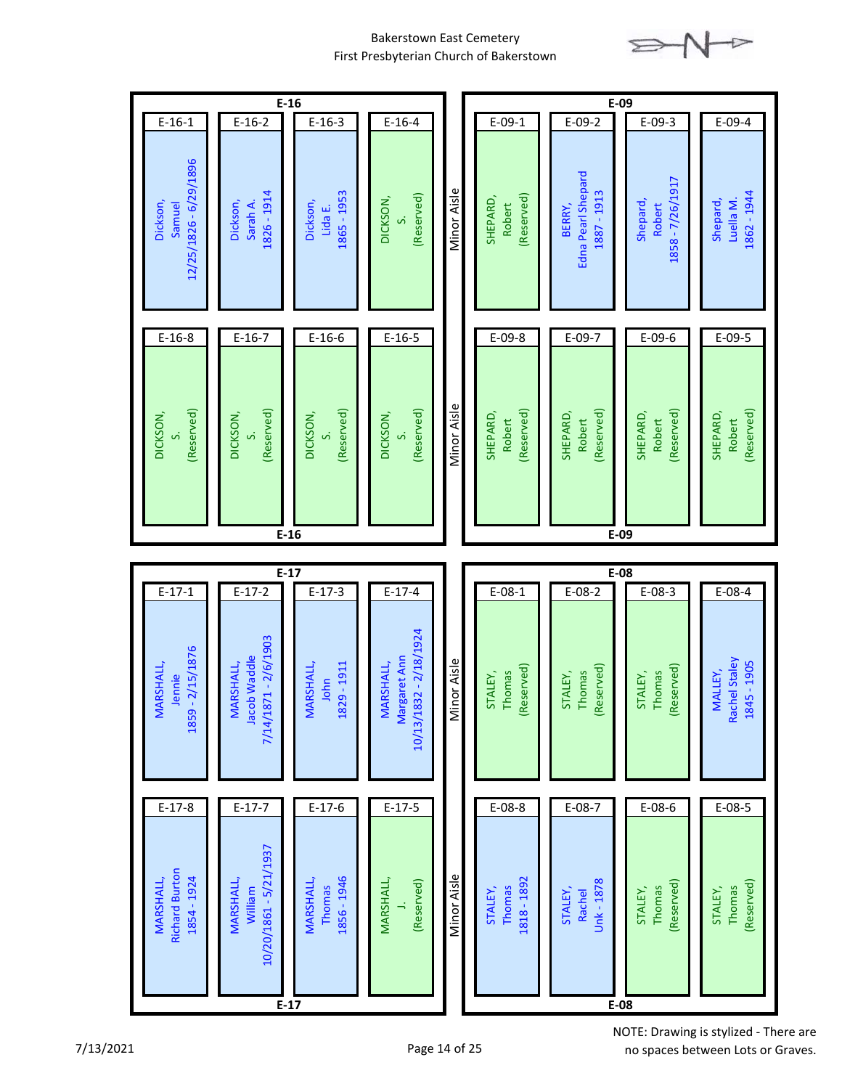

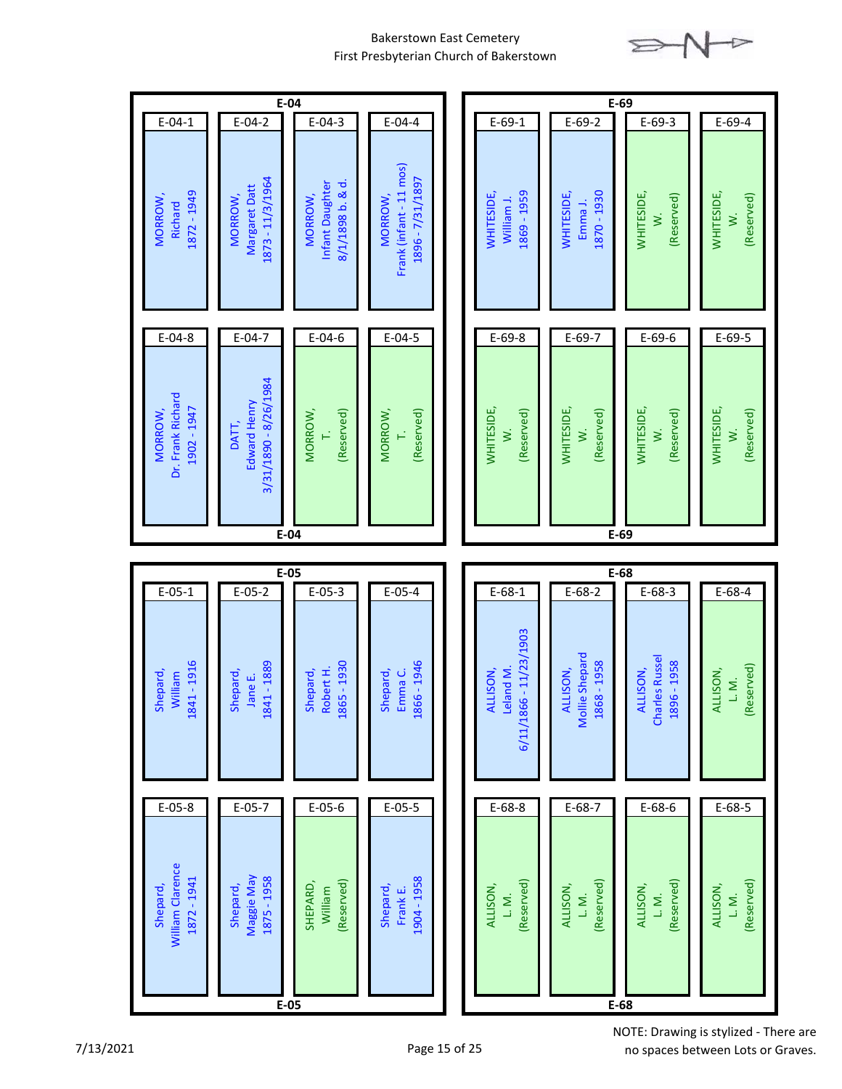

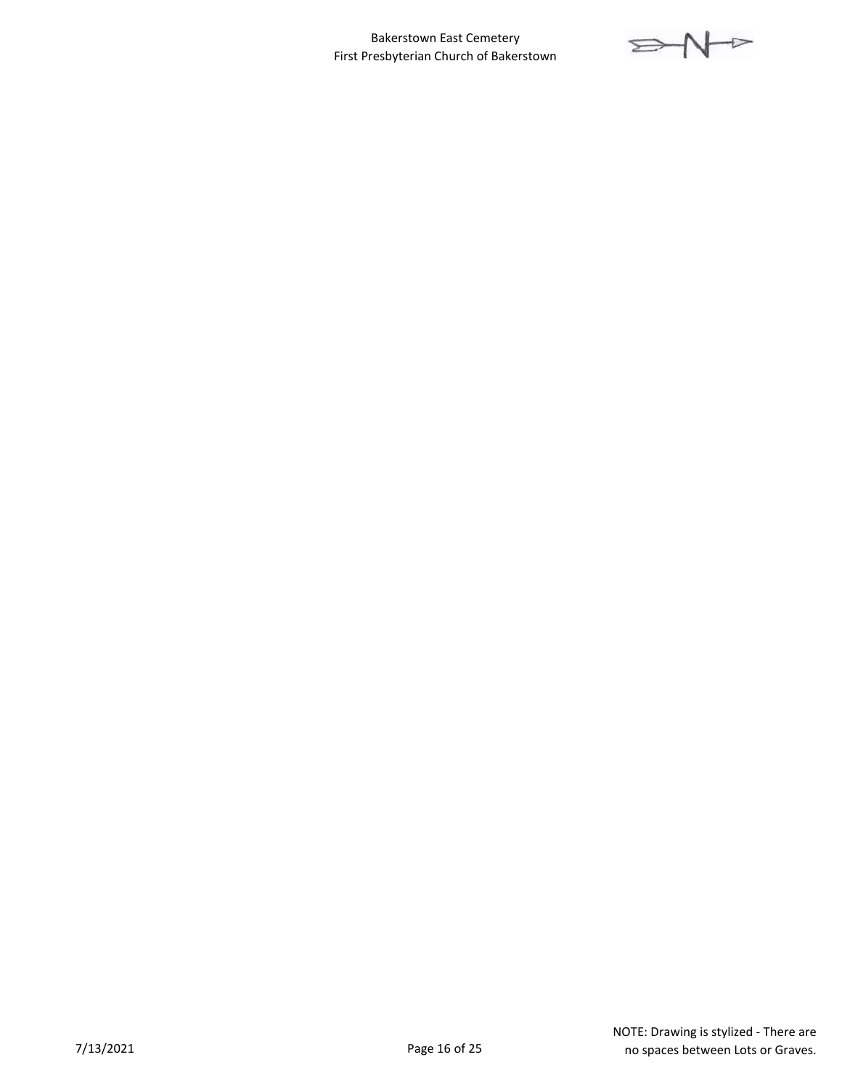$P + P$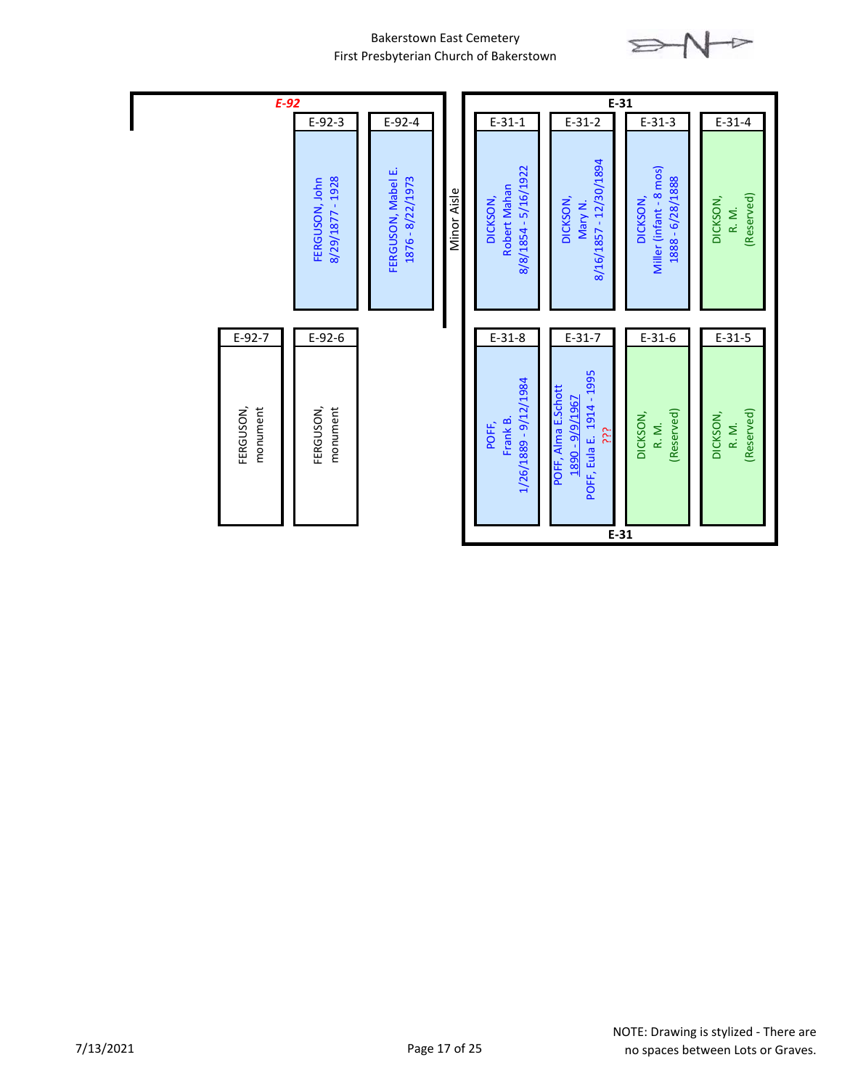

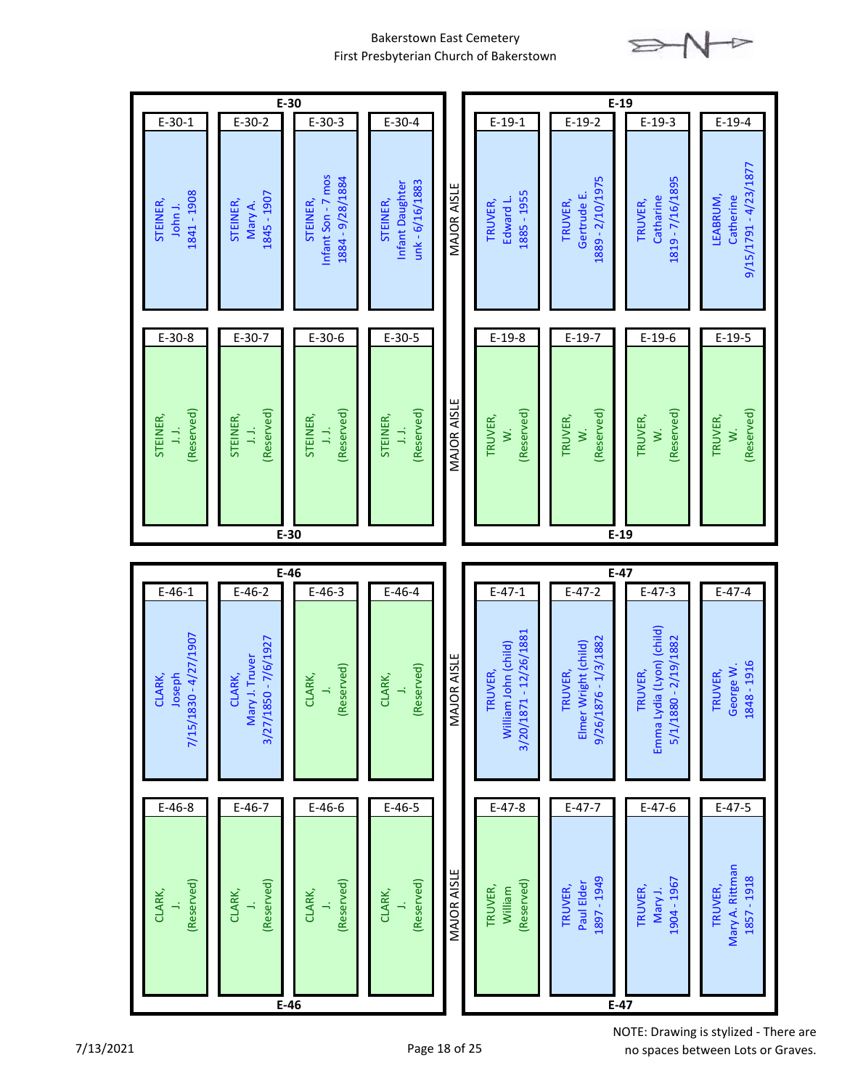

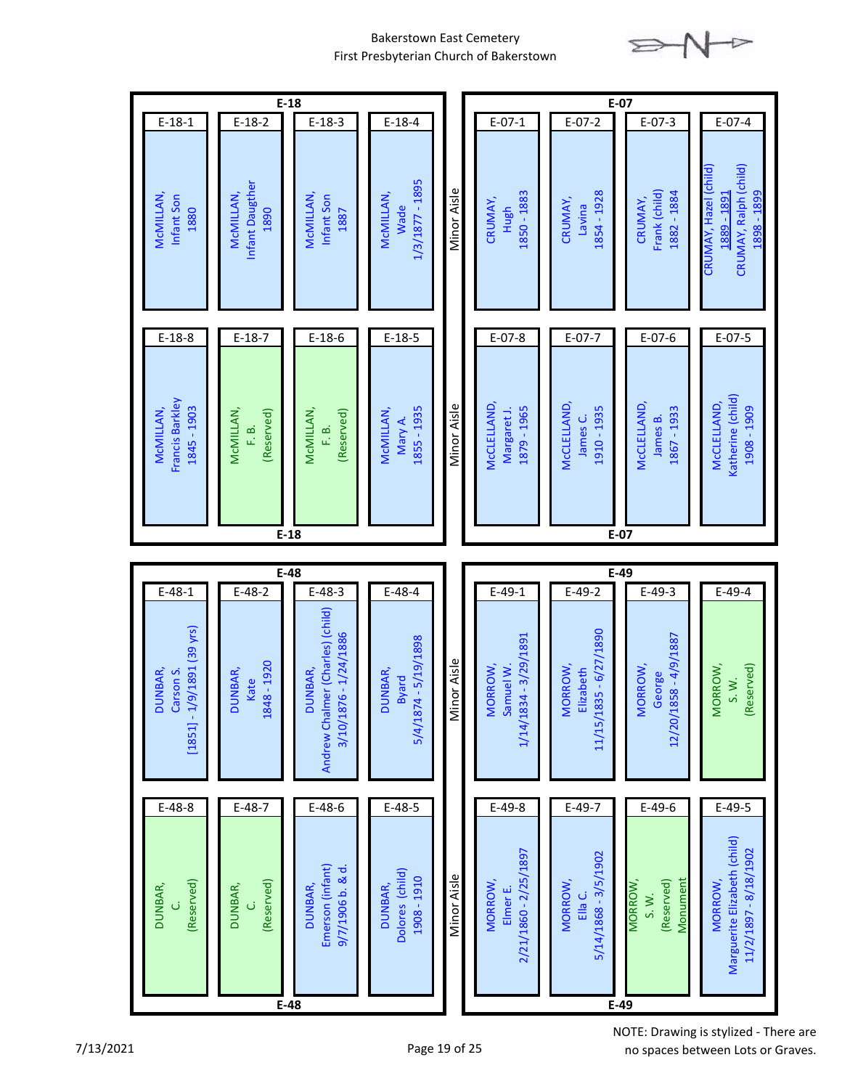

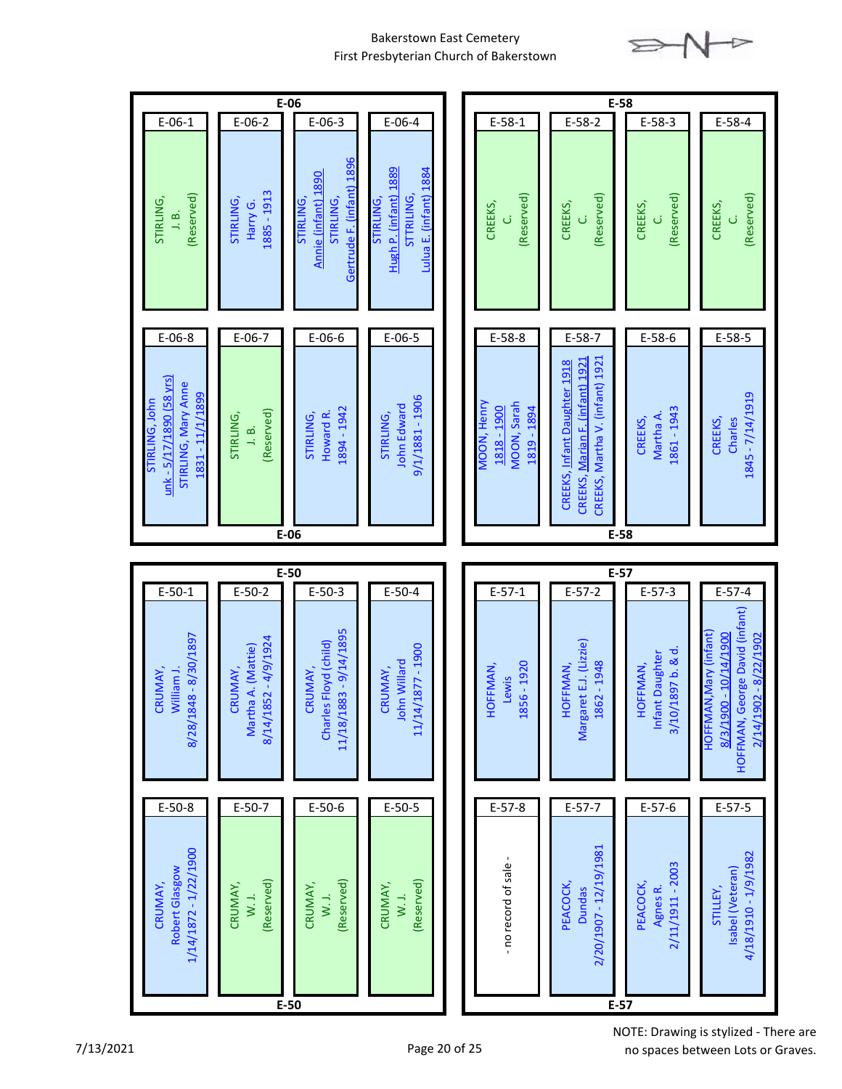

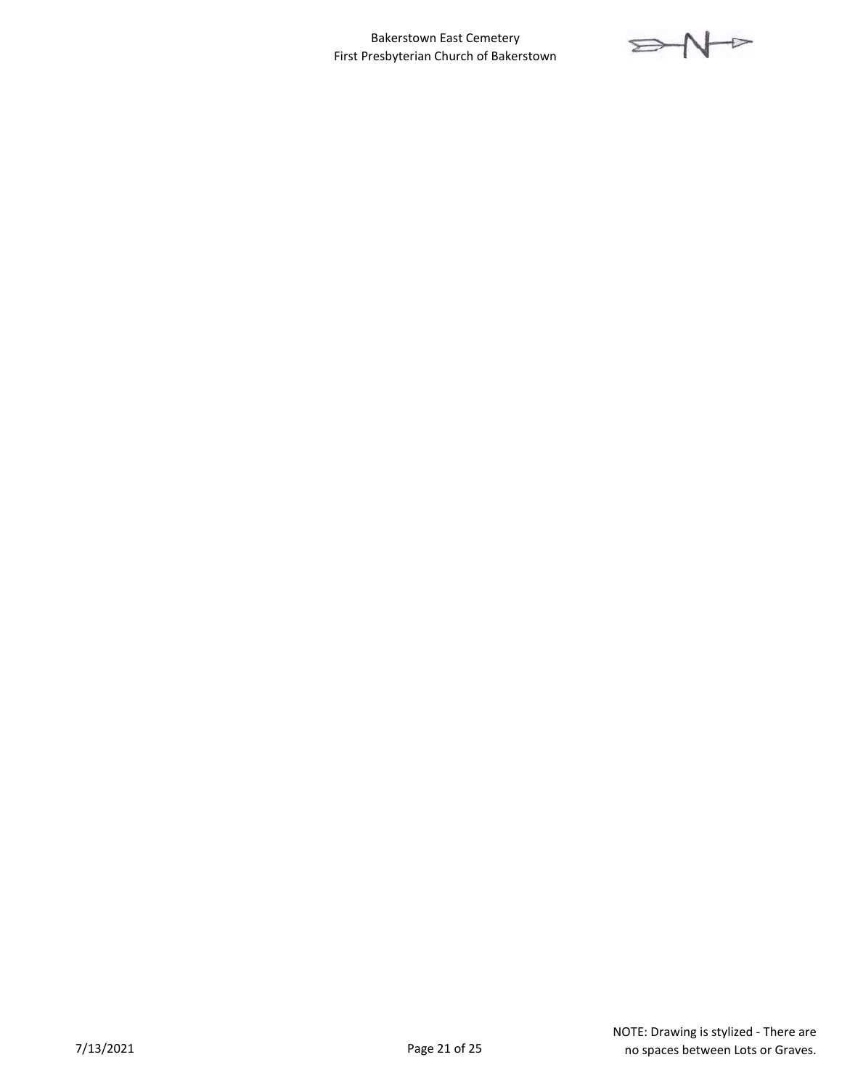$P + P$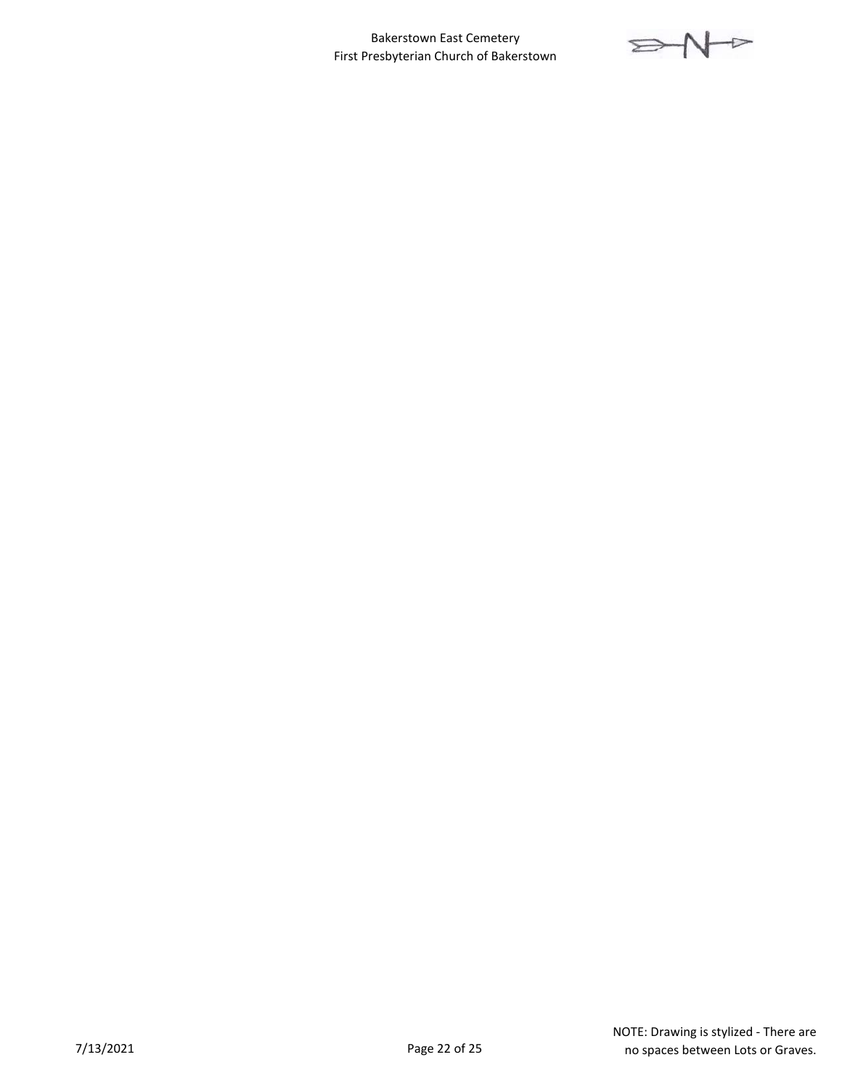$P + P$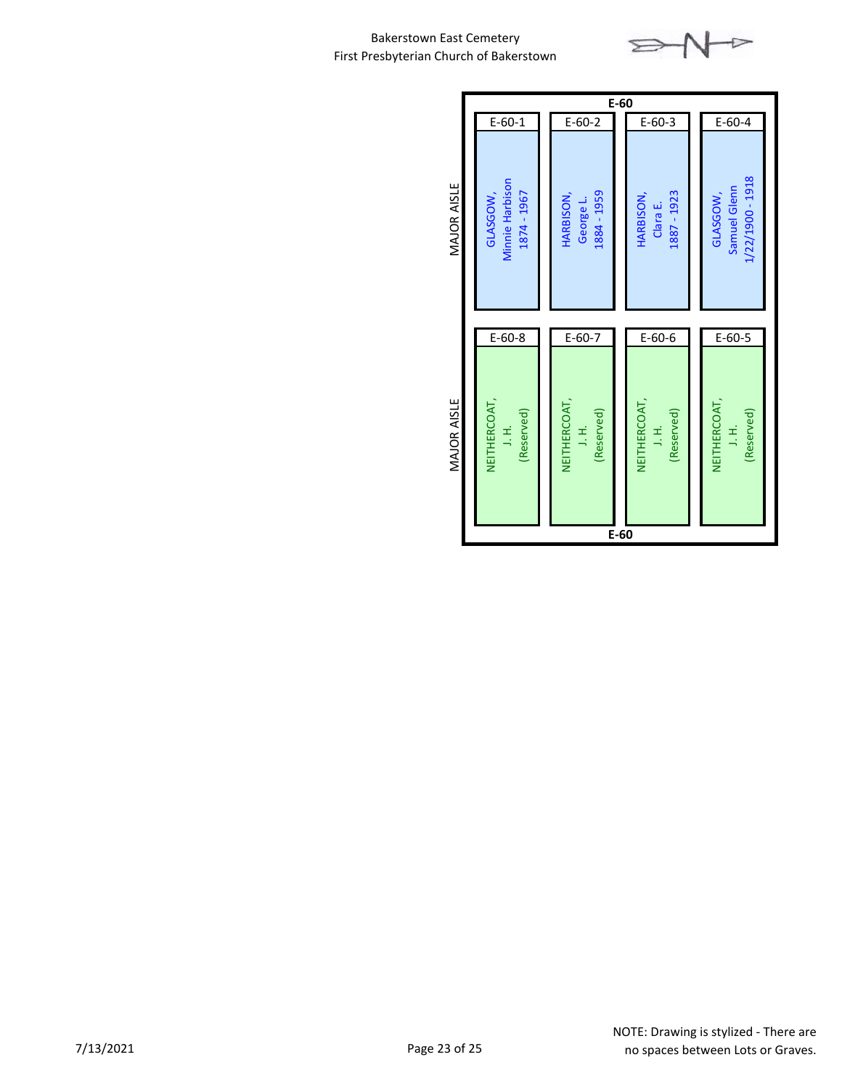

|                    |                                            | E-60                                    |                                         |                                              |
|--------------------|--------------------------------------------|-----------------------------------------|-----------------------------------------|----------------------------------------------|
|                    | $E - 60 - 1$                               | $E-60-2$                                | $E-60-3$                                | $E-60-4$                                     |
| <b>MAJOR AISLE</b> | Minnie Harbison<br>GLASGOW,<br>1874 - 1967 | 1884 - 1959<br>HARBISON,<br>George L.   | 1887 - 1923<br>HARBISON,<br>Clara E.    | 1/22/1900 - 1918<br>Samuel Glenn<br>GLASGOW, |
|                    | $E - 60 - 8$                               | $E-60-7$                                | $E-60-6$                                | $E-60-5$                                     |
| MAJOR AISLE        | NEITHERCOAT,<br>(Reserved)<br>$\vec{E}$    | NEITHERCOAT,<br>(Reserved)<br>$\vec{F}$ | NEITHERCOAT,<br>(Reserved)<br>$\vec{E}$ | NEITHERCOAT,<br>(Reserved)<br>$\frac{1}{2}$  |
|                    |                                            | E-60                                    |                                         |                                              |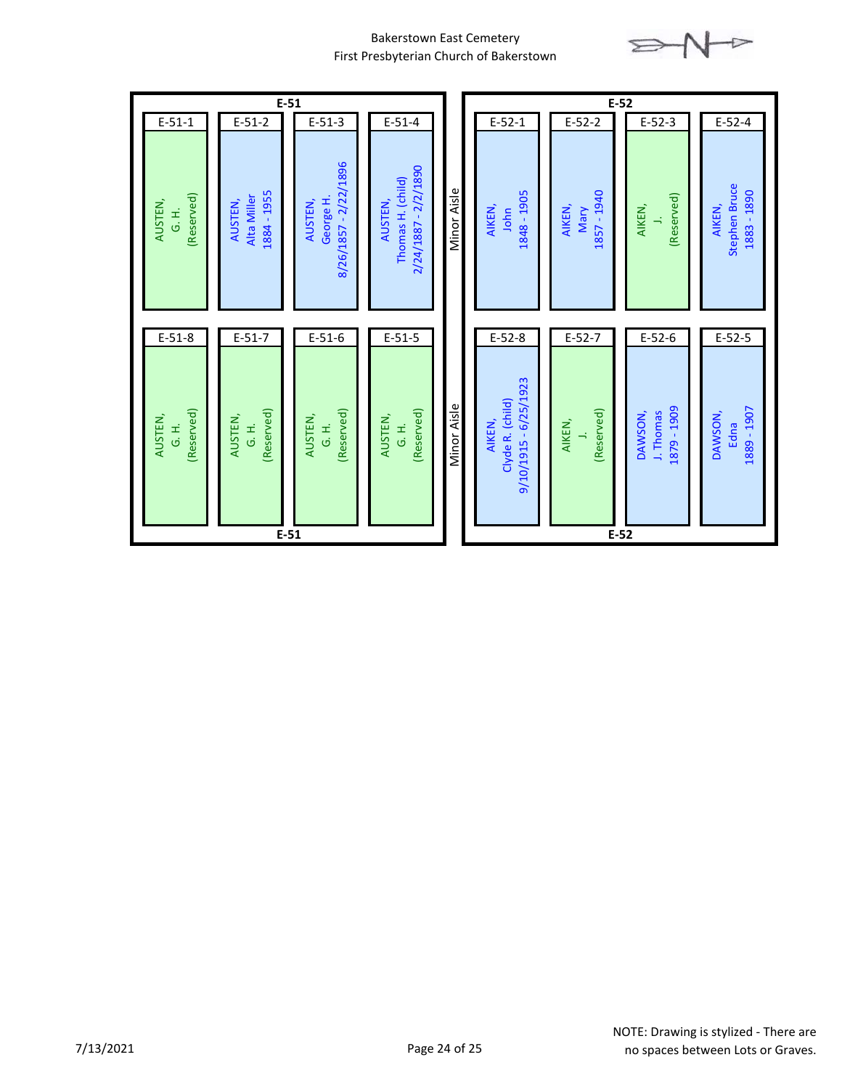

| $E-51$                           |                                       |                                               |                                                      |             |                                                     | $E-52$                               |                                     |                                        |
|----------------------------------|---------------------------------------|-----------------------------------------------|------------------------------------------------------|-------------|-----------------------------------------------------|--------------------------------------|-------------------------------------|----------------------------------------|
| $E-51-1$                         | $E - 51 - 2$                          | $E-51-3$                                      | $E-51-4$                                             |             | $E-52-1$                                            | $E-52-2$                             | $E-52-3$                            | $E-52-4$                               |
| (Reserved)<br>AUSTEN,<br>Η.<br>Θ | 1884 - 1955<br>Alta Miller<br>AUSTEN, | 8/26/1857 - 2/22/1896<br>George H.<br>AUSTEN, | 2/24/1887 - 2/2/1890<br>Thomas H. (child)<br>AUSTEN, | Minor Aisle | 1848 - 1905<br>AIKEN,<br>John                       | 1857 - 1940<br>AIKEN,<br><b>Mary</b> | (Reserved)<br>AIKEN,                | Stephen Bruce<br>1883 - 1890<br>AIKEN, |
| $E-51-8$                         | $E-51-7$                              | $E-51-6$                                      | $E-51-5$                                             |             | $E-52-8$                                            | $E-52-7$                             | $E-52-6$                            | $E-52-5$                               |
| (Reserved)<br>AUSTEN,<br>G.H.    | (Reserved)<br>AUSTEN,<br>τi<br>Θ      | (Reserved)<br>AUSTEN,<br>$\ddot{G}$ . H.      | (Reserved)<br>AUSTEN,<br>H.<br>G.                    | Minor Aisle | 9/10/1915 - 6/25/1923<br>Clyde R. (child)<br>AIKEN, | (Reserved)<br>AIKEN,                 | 1879 - 1909<br>J. Thomas<br>DAWSON, | 1889 - 1907<br>DAWSON,<br>Edna         |
|                                  | $E-51$                                |                                               |                                                      |             |                                                     | $E-52$                               |                                     |                                        |